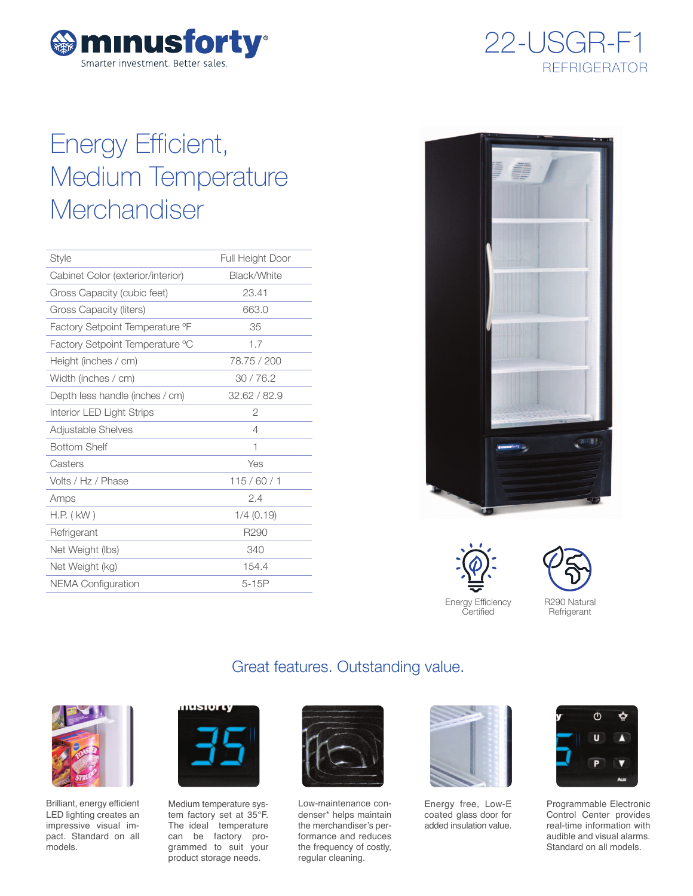



# Energy Efficient, Medium Temperature **Merchandiser**

| Style                             | <b>Full Height Door</b> |
|-----------------------------------|-------------------------|
| Cabinet Color (exterior/interior) | Black/White             |
| Gross Capacity (cubic feet)       | 23.41                   |
| Gross Capacity (liters)           | 663.0                   |
| Factory Setpoint Temperature °F   | 35                      |
| Factory Setpoint Temperature °C   | 1.7                     |
| Height (inches / cm)              | 78.75 / 200             |
| Width (inches / cm)               | 30/76.2                 |
| Depth less handle (inches / cm)   | 32.62 / 82.9            |
| Interior LED Light Strips         | 2                       |
| <b>Adjustable Shelves</b>         | 4                       |
| <b>Bottom Shelf</b>               | 1                       |
| Casters                           | Yes                     |
| Volts / Hz / Phase                | 115/60/1                |
| Amps                              | 2.4                     |
| $H.P.$ ( $kW$ )                   | $1/4$ (0.19)            |
| Refrigerant                       | R <sub>290</sub>        |
| Net Weight (lbs)                  | 340                     |
| Net Weight (kg)                   | 154.4                   |
| <b>NEMA Configuration</b>         | $5-15P$                 |
|                                   |                         |



Energy Efficiency **Certified** 





Brilliant, energy efficient LED lighting creates an impressive visual impact. Standard on all models.



Medium temperature system factory set at 35°F. The ideal temperature can be factory programmed to suit your product storage needs.



Great features. Outstanding value.

Low-maintenance condenser\* helps maintain the merchandiser's performance and reduces the frequency of costly, regular cleaning.



Energy free, Low-E coated glass door for added insulation value.



Programmable Electronic Control Center provides real-time information with audible and visual alarms. Standard on all models.